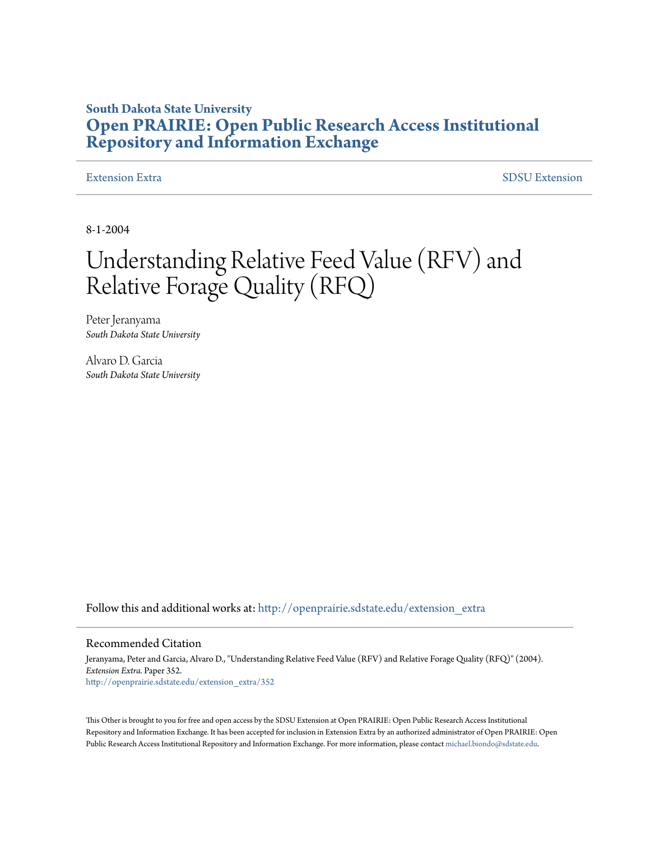### **South Dakota State University [Open PRAIRIE: Open Public Research Access Institutional](http://openprairie.sdstate.edu?utm_source=openprairie.sdstate.edu%2Fextension_extra%2F352&utm_medium=PDF&utm_campaign=PDFCoverPages) [Repository and Information Exchange](http://openprairie.sdstate.edu?utm_source=openprairie.sdstate.edu%2Fextension_extra%2F352&utm_medium=PDF&utm_campaign=PDFCoverPages)**

[Extension Extra](http://openprairie.sdstate.edu/extension_extra?utm_source=openprairie.sdstate.edu%2Fextension_extra%2F352&utm_medium=PDF&utm_campaign=PDFCoverPages)  $SDSU$  Extension

8-1-2004

## Understanding Relative Feed Value (RFV) and Relative Forage Quality (RFQ)

Peter Jeranyama *South Dakota State University*

Alvaro D. Garcia *South Dakota State University*

Follow this and additional works at: [http://openprairie.sdstate.edu/extension\\_extra](http://openprairie.sdstate.edu/extension_extra?utm_source=openprairie.sdstate.edu%2Fextension_extra%2F352&utm_medium=PDF&utm_campaign=PDFCoverPages)

#### Recommended Citation

Jeranyama, Peter and Garcia, Alvaro D., "Understanding Relative Feed Value (RFV) and Relative Forage Quality (RFQ)" (2004). *Extension Extra.* Paper 352. [http://openprairie.sdstate.edu/extension\\_extra/352](http://openprairie.sdstate.edu/extension_extra/352?utm_source=openprairie.sdstate.edu%2Fextension_extra%2F352&utm_medium=PDF&utm_campaign=PDFCoverPages)

This Other is brought to you for free and open access by the SDSU Extension at Open PRAIRIE: Open Public Research Access Institutional Repository and Information Exchange. It has been accepted for inclusion in Extension Extra by an authorized administrator of Open PRAIRIE: Open Public Research Access Institutional Repository and Information Exchange. For more information, please contact [michael.biondo@sdstate.edu](mailto:michael.biondo@sdstate.edu).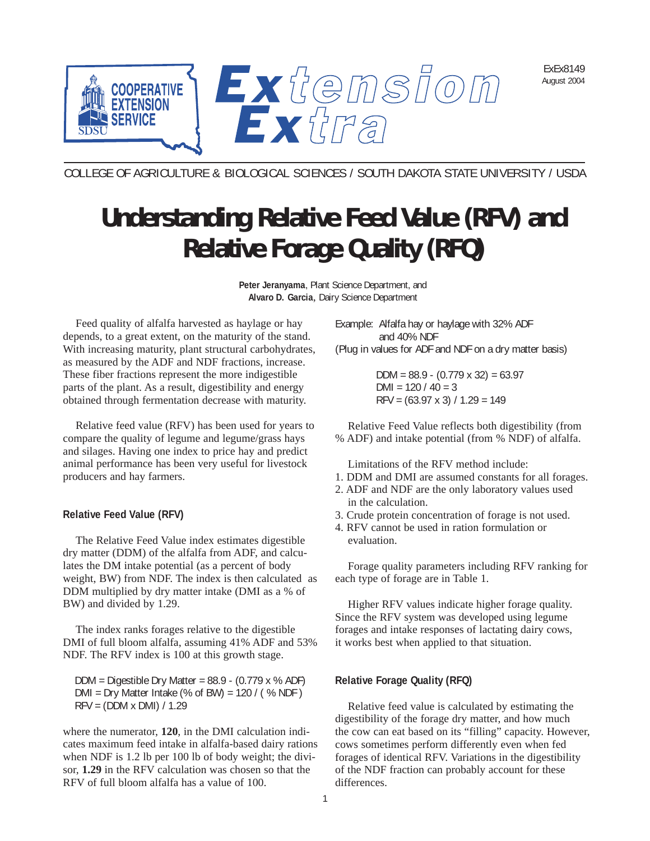ExEx8149 August 2004



COLLEGE OF AGRICULTURE & BIOLOGICAL SCIENCES / SOUTH DAKOTA STATE UNIVERSITY / USDA

# **Understanding Relative Feed Value (RFV) and Relative Forage Quality (RFQ)**

**Peter Jeranyama**, Plant Science Department, and **Alvaro D. Garcia**, Dairy Science Department

Feed quality of alfalfa harvested as haylage or hay depends, to a great extent, on the maturity of the stand. With increasing maturity, plant structural carbohydrates, as measured by the ADF and NDF fractions, increase. These fiber fractions represent the more indigestible parts of the plant. As a result, digestibility and energy obtained through fermentation decrease with maturity.

Relative feed value (RFV) has been used for years to compare the quality of legume and legume/grass hays and silages. Having one index to price hay and predict animal performance has been very useful for livestock producers and hay farmers.

#### **Relative Feed Value (RFV)**

The Relative Feed Value index estimates digestible dry matter (DDM) of the alfalfa from ADF, and calculates the DM intake potential (as a percent of body weight, BW) from NDF. The index is then calculated as DDM multiplied by dry matter intake (DMI as a % of BW) and divided by 1.29.

The index ranks forages relative to the digestible DMI of full bloom alfalfa, assuming 41% ADF and 53% NDF. The RFV index is 100 at this growth stage.

DDM = Digestible Dry Matter =  $88.9 - (0.779 \times %$  ADF)  $DMI = Dry Matter Intake (% of BW) = 120 / (% NDF)$ RFV = (DDM x DMI) / 1.29

where the numerator, **120**, in the DMI calculation indicates maximum feed intake in alfalfa-based dairy rations when NDF is 1.2 lb per 100 lb of body weight; the divisor, **1.29** in the RFV calculation was chosen so that the RFV of full bloom alfalfa has a value of 100.

Example: Alfalfa hay or haylage with 32% ADF and 40% NDF (Plug in values for ADF and NDF on a dry matter basis)

> DDM =  $88.9 - (0.779 \times 32) = 63.97$  $DMI = 120 / 40 = 3$  $RFV = (63.97 \times 3) / 1.29 = 149$

Relative Feed Value reflects both digestibility (from % ADF) and intake potential (from % NDF) of alfalfa.

Limitations of the RFV method include:

- 1. DDM and DMI are assumed constants for all forages.
- 2. ADF and NDF are the only laboratory values used in the calculation.
- 3. Crude protein concentration of forage is not used.
- 4. RFV cannot be used in ration formulation or evaluation.

Forage quality parameters including RFV ranking for each type of forage are in Table 1.

Higher RFV values indicate higher forage quality. Since the RFV system was developed using legume forages and intake responses of lactating dairy cows, it works best when applied to that situation.

#### **Relative Forage Quality (RFQ)**

Relative feed value is calculated by estimating the digestibility of the forage dry matter, and how much the cow can eat based on its "filling" capacity. However, cows sometimes perform differently even when fed forages of identical RFV. Variations in the digestibility of the NDF fraction can probably account for these differences.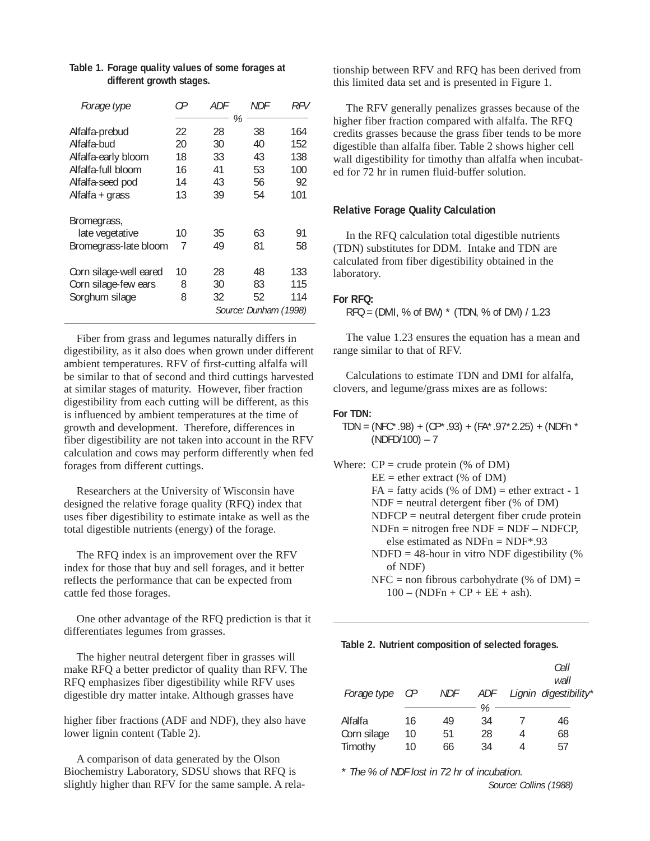| Forage type                                                                                                       | СP                               | ADF                                   | NDF                              | RFV                                   |
|-------------------------------------------------------------------------------------------------------------------|----------------------------------|---------------------------------------|----------------------------------|---------------------------------------|
| Alfalfa-prebud<br>Alfalfa-bud<br>Alfalfa-early bloom<br>Alfalfa-full bloom<br>Alfalfa-seed pod<br>Alfalfa + grass | 22<br>20<br>18<br>16<br>14<br>13 | %<br>28<br>30<br>33<br>41<br>43<br>39 | 38<br>40<br>43<br>53<br>56<br>54 | 164<br>152<br>138<br>100<br>92<br>101 |
| Bromegrass,<br>late vegetative<br>Bromegrass-late bloom<br>Corn silage-well eared                                 | 10<br>7<br>10                    | 35<br>49<br>28                        | 63<br>81<br>48                   | 91<br>58<br>133                       |
| Corn silage-few ears<br>Sorghum silage                                                                            | 8<br>8                           | 30<br>32                              | 83<br>52                         | 115<br>114<br>Source: Dunham (1998)   |

#### **Table 1. Forage quality values of some forages at different growth stages.**

Fiber from grass and legumes naturally differs in digestibility, as it also does when grown under different ambient temperatures. RFV of first-cutting alfalfa will be similar to that of second and third cuttings harvested at similar stages of maturity. However, fiber fraction digestibility from each cutting will be different, as this is influenced by ambient temperatures at the time of growth and development. Therefore, differences in fiber digestibility are not taken into account in the RFV calculation and cows may perform differently when fed forages from different cuttings.

Researchers at the University of Wisconsin have designed the relative forage quality (RFQ) index that uses fiber digestibility to estimate intake as well as the total digestible nutrients (energy) of the forage.

The RFQ index is an improvement over the RFV index for those that buy and sell forages, and it better reflects the performance that can be expected from cattle fed those forages.

One other advantage of the RFQ prediction is that it differentiates legumes from grasses.

The higher neutral detergent fiber in grasses will make RFQ a better predictor of quality than RFV. The RFQ emphasizes fiber digestibility while RFV uses digestible dry matter intake. Although grasses have

higher fiber fractions (ADF and NDF), they also have lower lignin content (Table 2).

A comparison of data generated by the Olson Biochemistry Laboratory, SDSU shows that RFQ is slightly higher than RFV for the same sample. A relationship between RFV and RFQ has been derived from this limited data set and is presented in Figure 1.

The RFV generally penalizes grasses because of the higher fiber fraction compared with alfalfa. The RFQ credits grasses because the grass fiber tends to be more digestible than alfalfa fiber. Table 2 shows higher cell wall digestibility for timothy than alfalfa when incubated for 72 hr in rumen fluid-buffer solution.

#### **Relative Forage Quality Calculation**

In the RFQ calculation total digestible nutrients (TDN) substitutes for DDM. Intake and TDN are calculated from fiber digestibility obtained in the laboratory.

#### **For RFQ:**

 $RFO = (DMI, % of BW) * (TDN, % of DM) / 1.23$ 

The value 1.23 ensures the equation has a mean and range similar to that of RFV.

Calculations to estimate TDN and DMI for alfalfa, clovers, and legume/grass mixes are as follows:

#### **For TDN:**

- TDN = (NFC\*.98) + (CP\*.93) + (FA\*.97\*2.25) + (NDFn \* (NDFD/100) – 7
- Where:  $CP = \text{crude protein } (\% \text{ of DM})$  $EE =$  ether extract (% of DM)

 $FA =$  fatty acids (% of DM) = ether extract - 1

 $NDF$  = neutral detergent fiber (% of DM)

 $NDFCP =$  neutral detergent fiber crude protein

- $NDFn = nitrogen free NDF = NDF NDFCP$ else estimated as  $NDFn = NDF* .93$
- $NDFD = 48$ -hour in vitro NDF digestibility (%) of NDF)

 $NFC =$  non fibrous carbohydrate (% of DM) =  $100 - (NDFn + CP + EE + ash).$ 

**Table 2. Nutrient composition of selected forages.**

| Forage type | CР | <b>NDF</b> | ADF. |   | Cell<br>wall<br>Lignin digestibility* |
|-------------|----|------------|------|---|---------------------------------------|
|             |    |            |      |   |                                       |
|             |    |            | %    |   |                                       |
| Alfalfa     | 16 | 49         | 34   |   | 46                                    |
| Corn silage | 10 | 51         | 28   | 4 | 68                                    |
| Timothy     | 10 | 66         | 34   | 4 | 57                                    |

\* The % of NDF lost in 72 hr of incubation.